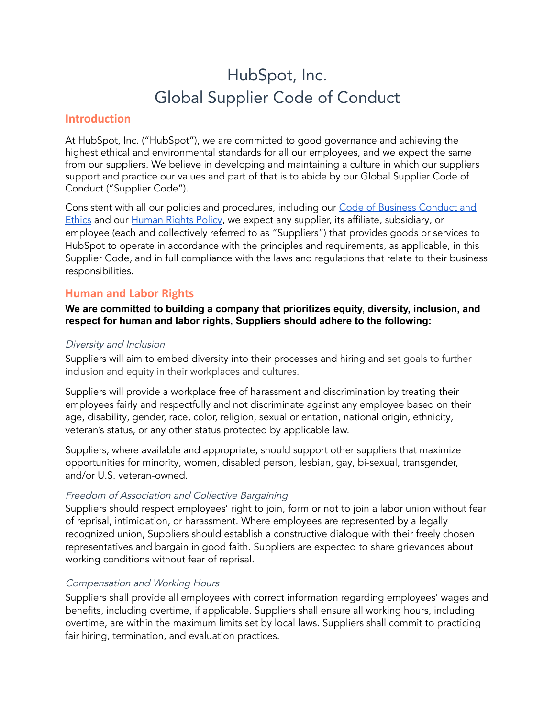# HubSpot, Inc. Global Supplier Code of Conduct

# **Introduction**

At HubSpot, Inc. ("HubSpot"), we are committed to good governance and achieving the highest ethical and environmental standards for all our employees, and we expect the same from our suppliers. We believe in developing and maintaining a culture in which our suppliers support and practice our values and part of that is to abide by our Global Supplier Code of Conduct ("Supplier Code").

Consistent with all our policies and procedures, including our Code of Business [Conduct](https://cdn2.hubspot.net/hubfs/53/IR%20Marketing/Code-of-Use-Good-Judgment%20(Revised%20May%202020)%20Final%20.pdf?__hstc=20629287.4b4c78cb23abd57ff0f6beb1454eb329.1628094073552.1628608189090.1628697935258.7&__hssc=20629287.2.1628697935258&__hsfp=1958046176) and [Ethics](https://cdn2.hubspot.net/hubfs/53/IR%20Marketing/Code-of-Use-Good-Judgment%20(Revised%20May%202020)%20Final%20.pdf?__hstc=20629287.4b4c78cb23abd57ff0f6beb1454eb329.1628094073552.1628608189090.1628697935258.7&__hssc=20629287.2.1628697935258&__hsfp=1958046176) and our [Human](https://cdn2.hubspot.net/hubfs/53/%5BInvestor%20Relations%5D/HubSpot%20-%20Human%20Rights%20Policy.pdf) Rights Policy, we expect any supplier, its affiliate, subsidiary, or employee (each and collectively referred to as "Suppliers") that provides goods or services to HubSpot to operate in accordance with the principles and requirements, as applicable, in this Supplier Code, and in full compliance with the laws and regulations that relate to their business responsibilities.

# **Human and Labor Rights**

## **We are committed to building a company that prioritizes equity, diversity, inclusion, and respect for human and labor rights, Suppliers should adhere to the following:**

#### Diversity and Inclusion

Suppliers will aim to embed diversity into their processes and hiring and set goals to further inclusion and equity in their workplaces and cultures.

Suppliers will provide a workplace free of harassment and discrimination by treating their employees fairly and respectfully and not discriminate against any employee based on their age, disability, gender, race, color, religion, sexual orientation, national origin, ethnicity, veteran's status, or any other status protected by applicable law.

Suppliers, where available and appropriate, should support other suppliers that maximize opportunities for minority, women, disabled person, lesbian, gay, bi-sexual, transgender, and/or U.S. veteran-owned.

#### Freedom of Association and Collective Bargaining

Suppliers should respect employees' right to join, form or not to join a labor union without fear of reprisal, intimidation, or harassment. Where employees are represented by a legally recognized union, Suppliers should establish a constructive dialogue with their freely chosen representatives and bargain in good faith. Suppliers are expected to share grievances about working conditions without fear of reprisal.

## Compensation and Working Hours

Suppliers shall provide all employees with correct information regarding employees' wages and benefits, including overtime, if applicable. Suppliers shall ensure all working hours, including overtime, are within the maximum limits set by local laws. Suppliers shall commit to practicing fair hiring, termination, and evaluation practices.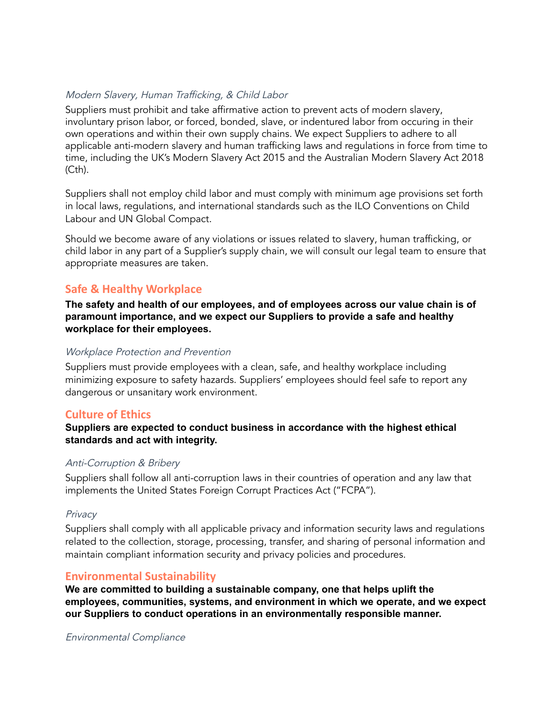## Modern Slavery, Human Trafficking, & Child Labor

Suppliers must prohibit and take affirmative action to prevent acts of modern slavery, involuntary prison labor, or forced, bonded, slave, or indentured labor from occuring in their own operations and within their own supply chains. We expect Suppliers to adhere to all applicable anti-modern slavery and human trafficking laws and regulations in force from time to time, including the UK's Modern Slavery Act 2015 and the Australian Modern Slavery Act 2018 (Cth).

Suppliers shall not employ child labor and must comply with minimum age provisions set forth in local laws, regulations, and international standards such as the ILO Conventions on Child Labour and UN Global Compact.

Should we become aware of any violations or issues related to slavery, human trafficking, or child labor in any part of a Supplier's supply chain, we will consult our legal team to ensure that appropriate measures are taken.

## **Safe & Healthy Workplace**

**The safety and health of our employees, and of employees across our value chain is of paramount importance, and we expect our Suppliers to provide a safe and healthy workplace for their employees.**

#### Workplace Protection and Prevention

Suppliers must provide employees with a clean, safe, and healthy workplace including minimizing exposure to safety hazards. Suppliers' employees should feel safe to report any dangerous or unsanitary work environment.

## **Culture of Ethics**

#### **Suppliers are expected to conduct business in accordance with the highest ethical standards and act with integrity.**

#### Anti-Corruption & Bribery

Suppliers shall follow all anti-corruption laws in their countries of operation and any law that implements the United States Foreign Corrupt Practices Act ("FCPA").

#### **Privacy**

Suppliers shall comply with all applicable privacy and information security laws and regulations related to the collection, storage, processing, transfer, and sharing of personal information and maintain compliant information security and privacy policies and procedures.

#### **Environmental Sustainability**

**We are committed to building a sustainable company, one that helps uplift the employees, communities, systems, and environment in which we operate, and we expect our Suppliers to conduct operations in an environmentally responsible manner.**

#### Environmental Compliance